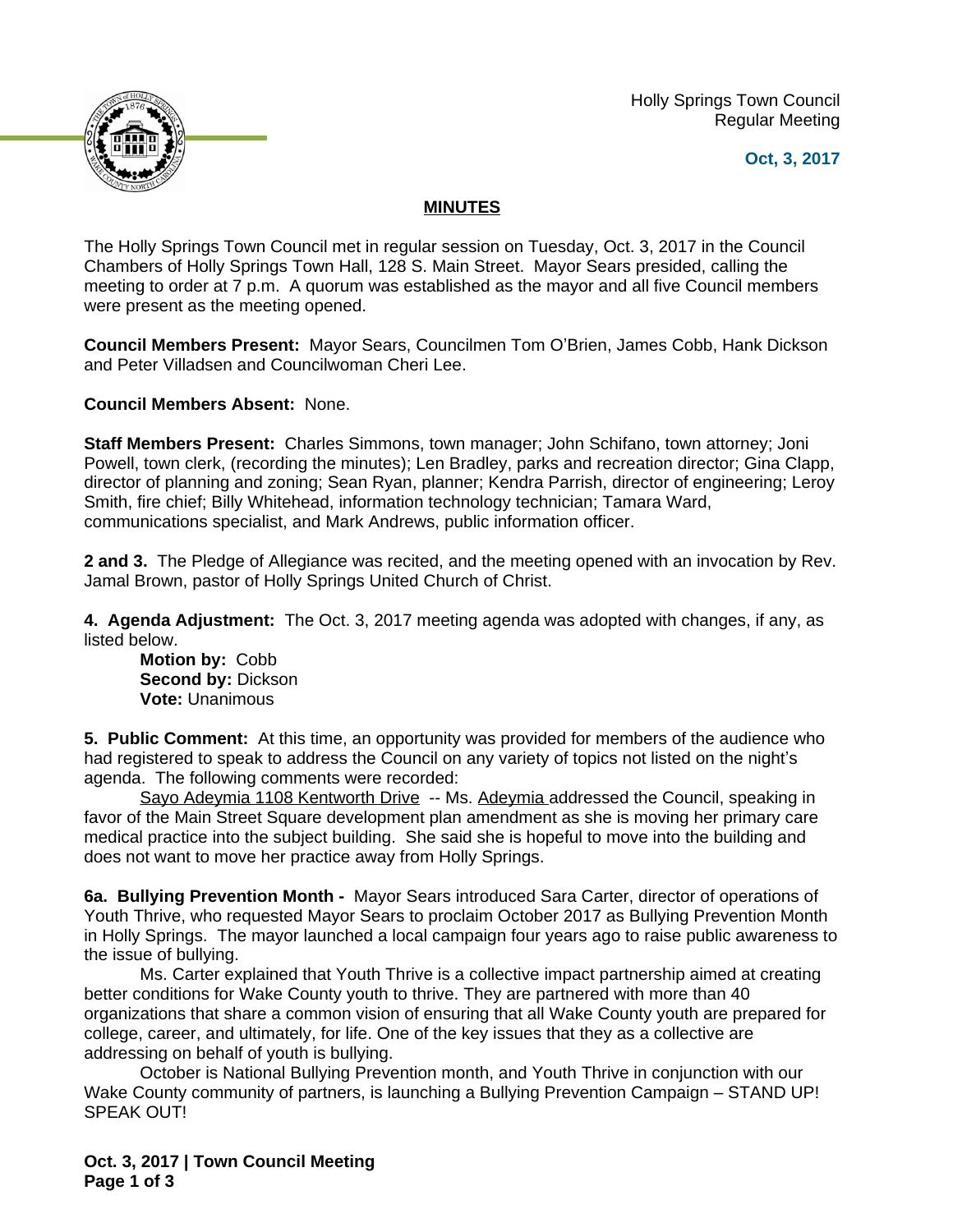Holly Springs Town Council Regular Meeting





## **MINUTES**

The Holly Springs Town Council met in regular session on Tuesday, Oct. 3, 2017 in the Council Chambers of Holly Springs Town Hall, 128 S. Main Street. Mayor Sears presided, calling the meeting to order at 7 p.m. A quorum was established as the mayor and all five Council members were present as the meeting opened.

**Council Members Present:** Mayor Sears, Councilmen Tom O'Brien, James Cobb, Hank Dickson and Peter Villadsen and Councilwoman Cheri Lee.

**Council Members Absent:** None.

**Staff Members Present:** Charles Simmons, town manager; John Schifano, town attorney; Joni Powell, town clerk, (recording the minutes); Len Bradley, parks and recreation director; Gina Clapp, director of planning and zoning; Sean Ryan, planner; Kendra Parrish, director of engineering; Leroy Smith, fire chief; Billy Whitehead, information technology technician; Tamara Ward, communications specialist, and Mark Andrews, public information officer.

**2 and 3.** The Pledge of Allegiance was recited, and the meeting opened with an invocation by Rev. Jamal Brown, pastor of Holly Springs United Church of Christ.

**4. Agenda Adjustment:** The Oct. 3, 2017 meeting agenda was adopted with changes, if any, as listed below.

**Motion by:** Cobb **Second by:** Dickson **Vote:** Unanimous

**5. Public Comment:** At this time, an opportunity was provided for members of the audience who had registered to speak to address the Council on any variety of topics not listed on the night's agenda. The following comments were recorded:

Sayo Adeymia 1108 Kentworth Drive -- Ms. Adeymia addressed the Council, speaking in favor of the Main Street Square development plan amendment as she is moving her primary care medical practice into the subject building. She said she is hopeful to move into the building and does not want to move her practice away from Holly Springs.

**6a. Bullying Prevention Month -** Mayor Sears introduced Sara Carter, director of operations of Youth Thrive, who requested Mayor Sears to proclaim October 2017 as Bullying Prevention Month in Holly Springs. The mayor launched a local campaign four years ago to raise public awareness to the issue of bullying.

Ms. Carter explained that Youth Thrive is a collective impact partnership aimed at creating better conditions for Wake County youth to thrive. They are partnered with more than 40 organizations that share a common vision of ensuring that all Wake County youth are prepared for college, career, and ultimately, for life. One of the key issues that they as a collective are addressing on behalf of youth is bullying.

October is National Bullying Prevention month, and Youth Thrive in conjunction with our Wake County community of partners, is launching a Bullying Prevention Campaign – STAND UP! SPEAK OUT!

**Oct. 3, 2017 | Town Council Meeting Page 1 of 3**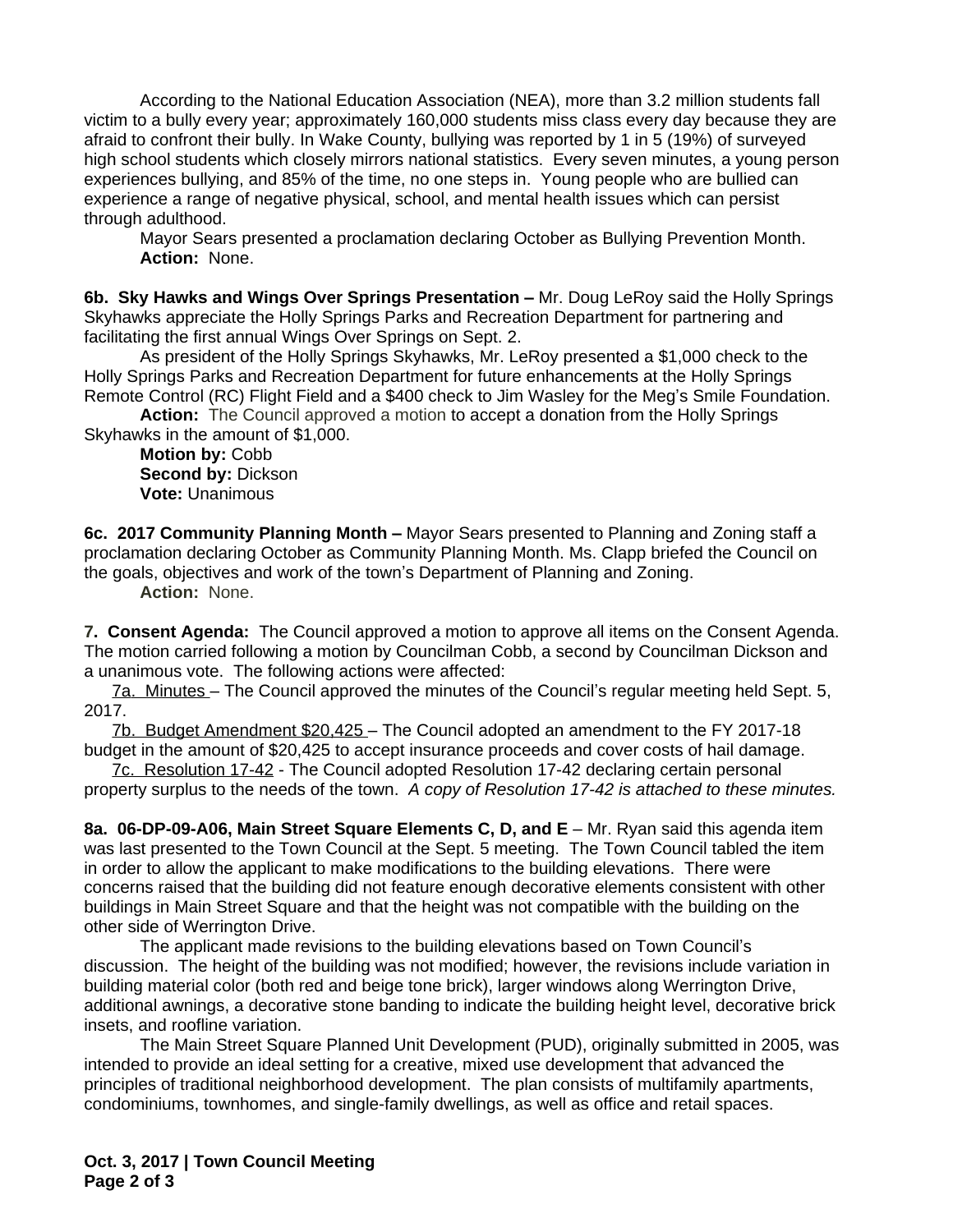According to the National Education Association (NEA), more than 3.2 million students fall victim to a bully every year; approximately 160,000 students miss class every day because they are afraid to confront their bully. In Wake County, bullying was reported by 1 in 5 (19%) of surveyed high school students which closely mirrors national statistics. Every seven minutes, a young person experiences bullying, and 85% of the time, no one steps in. Young people who are bullied can experience a range of negative physical, school, and mental health issues which can persist through adulthood.

Mayor Sears presented a proclamation declaring October as Bullying Prevention Month. **Action:** None.

**6b. Sky Hawks and Wings Over Springs Presentation –** Mr. Doug LeRoy said the Holly Springs Skyhawks appreciate the Holly Springs Parks and Recreation Department for partnering and facilitating the first annual Wings Over Springs on Sept. 2.

As president of the Holly Springs Skyhawks, Mr. LeRoy presented a \$1,000 check to the Holly Springs Parks and Recreation Department for future enhancements at the Holly Springs Remote Control (RC) Flight Field and a \$400 check to Jim Wasley for the Meg's Smile Foundation.

**Action:** The Council approved a motion to accept a donation from the Holly Springs Skyhawks in the amount of \$1,000.

**Motion by:** Cobb **Second by:** Dickson **Vote:** Unanimous

**6c. 2017 Community Planning Month –** Mayor Sears presented to Planning and Zoning staff a proclamation declaring October as Community Planning Month. Ms. Clapp briefed the Council on the goals, objectives and work of the town's Department of Planning and Zoning.

**Action:** None.

**7. Consent Agenda:** The Council approved a motion to approve all items on the Consent Agenda. The motion carried following a motion by Councilman Cobb, a second by Councilman Dickson and a unanimous vote. The following actions were affected:

7a. Minutes – The Council approved the minutes of the Council's regular meeting held Sept. 5, 2017.

7b. Budget Amendment \$20,425 – The Council adopted an amendment to the FY 2017-18 budget in the amount of \$20,425 to accept insurance proceeds and cover costs of hail damage.

7c. Resolution 17-42 - The Council adopted Resolution 17-42 declaring certain personal property surplus to the needs of the town. *A copy of Resolution 17-42 is attached to these minutes.*

**8a. 06-DP-09-A06, Main Street Square Elements C, D, and E** – Mr. Ryan said this agenda item was last presented to the Town Council at the Sept. 5 meeting. The Town Council tabled the item in order to allow the applicant to make modifications to the building elevations. There were concerns raised that the building did not feature enough decorative elements consistent with other buildings in Main Street Square and that the height was not compatible with the building on the other side of Werrington Drive.

The applicant made revisions to the building elevations based on Town Council's discussion. The height of the building was not modified; however, the revisions include variation in building material color (both red and beige tone brick), larger windows along Werrington Drive, additional awnings, a decorative stone banding to indicate the building height level, decorative brick insets, and roofline variation.

The Main Street Square Planned Unit Development (PUD), originally submitted in 2005, was intended to provide an ideal setting for a creative, mixed use development that advanced the principles of traditional neighborhood development. The plan consists of multifamily apartments, condominiums, townhomes, and single-family dwellings, as well as office and retail spaces.

**Oct. 3, 2017 | Town Council Meeting Page 2 of 3**